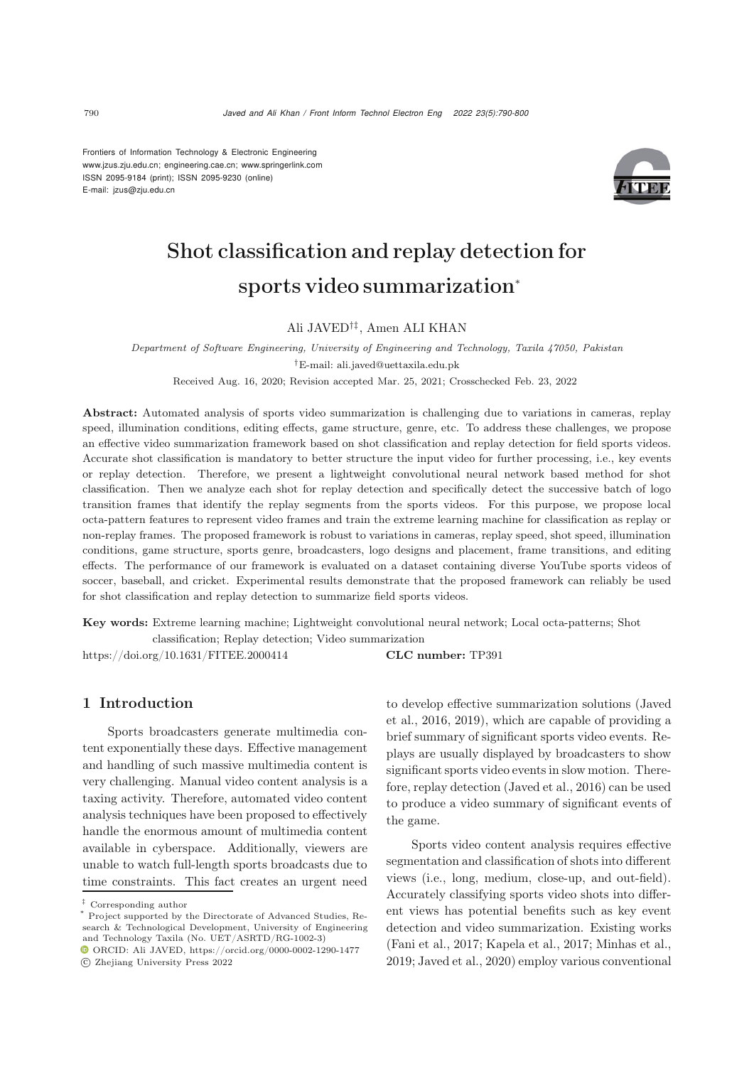Frontiers of Information Technology & Electronic Engineering [www.jzus.zju.edu.cn;](www.jzus.zju.edu.cn) [engineering.cae.cn;](engineering.cae.cn)<www.springerlink.com> ISSN 2095-9184 (print); ISSN 2095-9230 (online) E-mail: jzus@zju.edu.cn



# Shot classification and replay detection for sports video summarization<sup>∗</sup>

# Ali JAVED†‡, Amen ALI KHAN

*Department of Software Engineering, University of Engineering and Technology, Taxila 47050, Pakistan*

*†*E-mail: ali.javed@uettaxila.edu.pk

Received Aug. 16, 2020; Revision accepted Mar. 25, 2021; Crosschecked Feb. 23, 2022

Abstract: Automated analysis of sports video summarization is challenging due to variations in cameras, replay speed, illumination conditions, editing effects, game structure, genre, etc. To address these challenges, we propose an effective video summarization framework based on shot classification and replay detection for field sports videos. Accurate shot classification is mandatory to better structure the input video for further processing, i.e., key events or replay detection. Therefore, we present a lightweight convolutional neural network based method for shot classification. Then we analyze each shot for replay detection and specifically detect the successive batch of logo transition frames that identify the replay segments from the sports videos. For this purpose, we propose local octa-pattern features to represent video frames and train the extreme learning machine for classification as replay or non-replay frames. The proposed framework is robust to variations in cameras, replay speed, shot speed, illumination conditions, game structure, sports genre, broadcasters, logo designs and placement, frame transitions, and editing effects. The performance of our framework is evaluated on a dataset containing diverse YouTube sports videos of soccer, baseball, and cricket. Experimental results demonstrate that the proposed framework can reliably be used for shot classification and replay detection to summarize field sports videos.

Key words: Extreme learning machine; Lightweight convolutional neural network; Local octa-patterns; Shot

classification; Replay detection; Video summarization

https://doi.org/10.1631/FITEE.2000414 **CLC number:** TP391

# 1 Introduction

Sports broadcasters generate multimedia content exponentially these days. Effective management and handling of such massive multimedia content is very challenging. Manual video content analysis is a taxing activity. Therefore, automated video content analysis techniques have been proposed to effectively handle the enormous amount of multimedia content available in cyberspace. Additionally, viewers are unable to watch full-length sports broadcasts due to time constraints. This fact creates an urgent need

to d[evelop](#page-10-0) [effective](#page-10-0) [summarization](#page-10-0) [solutions](#page-10-0) [\(](#page-10-0)Javed et al., [2016](#page-10-0), [2019](#page-10-1)), which are capable of providing a brief summary of significant sports video events. Replays are usually displayed by broadcasters to show significant sports video events in slow motion. Therefore, replay detection [\(Javed et al., 2016\)](#page-10-0) can be used to produce a video summary of significant events of the game.

Sports video content analysis requires effective segmentation and classification of shots into different views (i.e., long, medium, close-up, and out-field). Accurately classifying sports video shots into different views has potential benefits such as key event detection and video summarization. Existing works [\(Fani et al., 2017](#page-10-2); [Kapela et al.](#page-10-3), [2017](#page-10-3); [Minhas et al.](#page-10-4), [2019](#page-10-4); [Javed et al.](#page-10-5), [2020\)](#page-10-5) employ various conventional

<sup>‡</sup> Corresponding author

Project supported by the Directorate of Advanced Studies, Research & Technological Development, University of Engineering and Technology Taxila (No. UET/ASRTD/RG-1002-3)

ORCID: Ali JAVED, https://orcid.org/0000-0002-1290-1477 c Zhejiang University Press 2022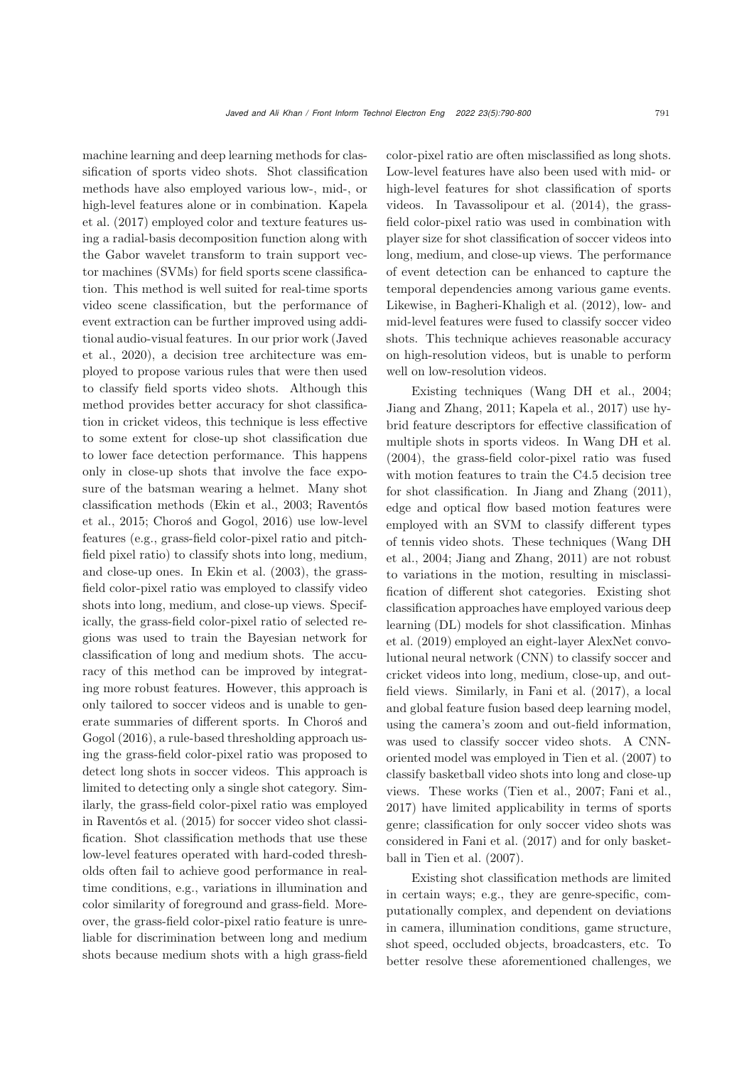machine learning and deep learning methods for classification of sports video shots. Shot classification methods have also employed various low-, mid-, or high[-level](#page-10-3) [features](#page-10-3) [alone](#page-10-3) [or](#page-10-3) [in](#page-10-3) [combination.](#page-10-3) Kapela et al. [\(2017\)](#page-10-3) employed color and texture features using a radial-basis decomposition function along with the Gabor wavelet transform to train support vector machines (SVMs) for field sports scene classification. This method is well suited for real-time sports video scene classification, but the performance of event extraction can be further improved using additiona[l](#page-10-5) [audio-visual](#page-10-5) [features.](#page-10-5) [In](#page-10-5) [our](#page-10-5) [prior](#page-10-5) [work](#page-10-5) [\(](#page-10-5)Javed et al., [2020](#page-10-5)), a decision tree architecture was employed to propose various rules that were then used to classify field sports video shots. Although this method provides better accuracy for shot classification in cricket videos, this technique is less effective to some extent for close-up shot classification due to lower face detection performance. This happens only in close-up shots that involve the face exposure of the batsman wearing a helmet. Many shot class[ification](#page-10-7) [methods](#page-10-7) [\(Ekin et al.](#page-10-6)[,](#page-10-7) [2003](#page-10-6)[;](#page-10-7) Raventós et al., [2015;](#page-10-7) [Choroś and Gogol, 2016\)](#page-10-8) use low-level features (e.g., grass-field color-pixel ratio and pitchfield pixel ratio) to classify shots into long, medium, and close-up ones. In [Ekin et al.](#page-10-6) [\(2003](#page-10-6)), the grassfield color-pixel ratio was employed to classify video shots into long, medium, and close-up views. Specifically, the grass-field color-pixel ratio of selected regions was used to train the Bayesian network for classification of long and medium shots. The accuracy of this method can be improved by integrating more robust features. However, this approach is only tailored to soccer videos and is unable to generate [summaries](#page-10-8) [of](#page-10-8) [different](#page-10-8) [sports.](#page-10-8) [In](#page-10-8) Choroś and Gogol [\(2016\)](#page-10-8), a rule-based thresholding approach using the grass-field color-pixel ratio was proposed to detect long shots in soccer videos. This approach is limited to detecting only a single shot category. Similarly, the grass-field color-pixel ratio was employed in [Raventós et al.](#page-10-7) [\(2015\)](#page-10-7) for soccer video shot classification. Shot classification methods that use these low-level features operated with hard-coded thresholds often fail to achieve good performance in realtime conditions, e.g., variations in illumination and color similarity of foreground and grass-field. Moreover, the grass-field color-pixel ratio feature is unreliable for discrimination between long and medium shots because medium shots with a high grass-field

color-pixel ratio are often misclassified as long shots. Low-level features have also been used with mid- or high-level features for shot classification of sports videos. In [Tavassolipour et al.](#page-10-9) [\(2014\)](#page-10-9), the grassfield color-pixel ratio was used in combination with player size for shot classification of soccer videos into long, medium, and close-up views. The performance of event detection can be enhanced to capture the temporal dependencies among various game events. Likewise, in [Bagheri-Khaligh et al.](#page-9-0) [\(2012](#page-9-0)), low- and mid-level features were fused to classify soccer video shots. This technique achieves reasonable accuracy on high-resolution videos, but is unable to perform well on low-resolution videos.

Existing techniques [\(Wang DH et al., 2004;](#page-10-10) [Jiang and Zhang](#page-10-11), [2011](#page-10-11); [Kapela et al.](#page-10-3), [2017](#page-10-3)) use hybrid feature descriptors for effective classification of multiple shots in sports videos. In [Wang DH et al.](#page-10-10) [\(2004](#page-10-10)), the grass-field color-pixel ratio was fused with motion features to train the C4.5 decision tree for shot classification. In [Jiang and Zhang](#page-10-11) [\(2011\)](#page-10-11), edge and optical flow based motion features were employed with an SVM to classify different types of te[nnis](#page-10-10) [video](#page-10-10) [shots.](#page-10-10) [These](#page-10-10) [techniques](#page-10-10) [\(](#page-10-10)Wang DH et al., [2004](#page-10-10); [Jiang and Zhang, 2011](#page-10-11)) are not robust to variations in the motion, resulting in misclassification of different shot categories. Existing shot classification approaches have employed various deep learn[ing](#page-10-4) [\(DL\)](#page-10-4) [models](#page-10-4) [for](#page-10-4) [shot](#page-10-4) [classification.](#page-10-4) Minhas et al. [\(2019](#page-10-4)) employed an eight-layer AlexNet convolutional neural network (CNN) to classify soccer and cricket videos into long, medium, close-up, and outfield views. Similarly, in [Fani et al.](#page-10-2) [\(2017\)](#page-10-2), a local and global feature fusion based deep learning model, using the camera's zoom and out-field information, was used to classify soccer video shots. A CNNoriented model was employed in [Tien et al.](#page-10-12) [\(2007\)](#page-10-12) to classify basketball video shots into long and close-up views. These works [\(Tien et al.](#page-10-12), [2007;](#page-10-12) [Fani et al.](#page-10-2), [2017](#page-10-2)) have limited applicability in terms of sports genre; classification for only soccer video shots was considered in [Fani et al.](#page-10-2) [\(2017](#page-10-2)) and for only basketball in [Tien et al.](#page-10-12) [\(2007](#page-10-12)).

Existing shot classification methods are limited in certain ways; e.g., they are genre-specific, computationally complex, and dependent on deviations in camera, illumination conditions, game structure, shot speed, occluded objects, broadcasters, etc. To better resolve these aforementioned challenges, we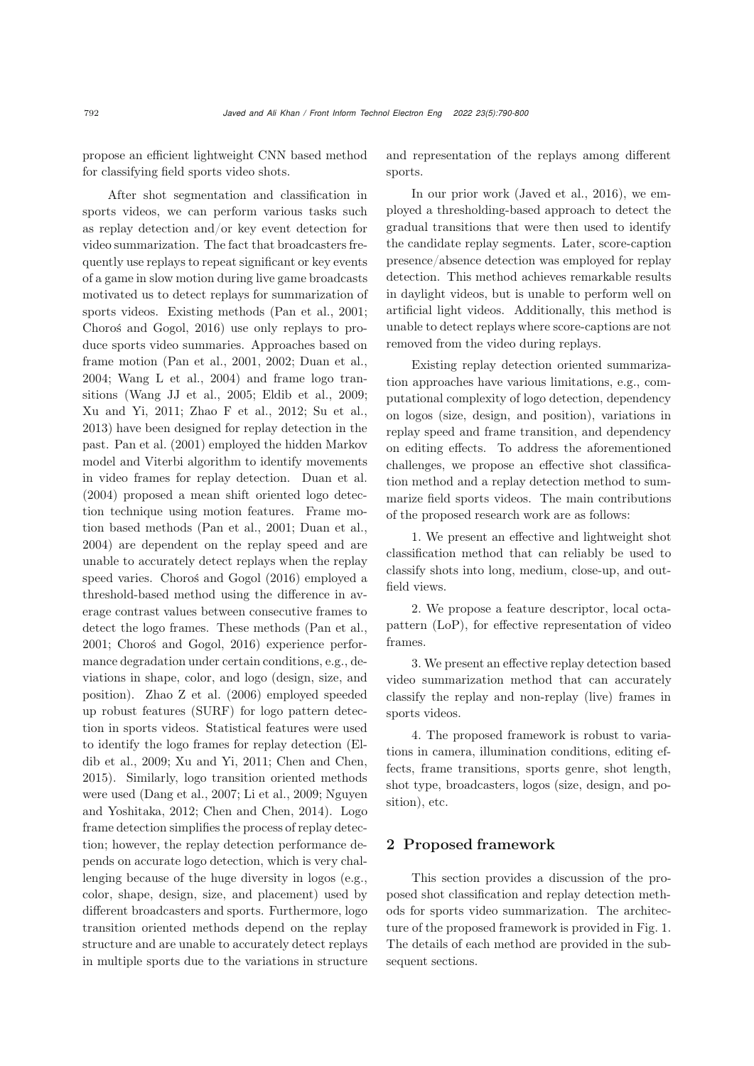propose an efficient lightweight CNN based method for classifying field sports video shots.

After shot segmentation and classification in sports videos, we can perform various tasks such as replay detection and/or key event detection for video summarization. The fact that broadcasters frequently use replays to repeat significant or key events of a game in slow motion during live game broadcasts motivated us to detect replays for summarization of sports videos. Existing methods [\(Pan et al., 2001;](#page-10-13) [Choroś and Gogol, 2016\)](#page-10-8) use only replays to produce sports video summaries. Approaches based on frame motion [\(Pan et al.](#page-10-13), [2001](#page-10-13), [2002](#page-10-14); [Duan et al.](#page-10-15), [2004](#page-10-15); [Wang L et al.](#page-10-16), [2004](#page-10-16)) and frame logo transitions [\(Wang JJ et al.](#page-10-17), [2005](#page-10-17); [Eldib et al., 2009;](#page-10-18) [Xu and Yi](#page-10-19), [2011](#page-10-19); [Zhao F et al.](#page-10-20), [2012;](#page-10-20) [Su et al.](#page-10-21), [2013](#page-10-21)) have been designed for replay detection in the past. [Pan et al.](#page-10-13) [\(2001\)](#page-10-13) employed the hidden Markov model and Viterbi algorithm to identify movements in video frames for replay detection. [Duan et al.](#page-10-15) [\(2004](#page-10-15)) proposed a mean shift oriented logo detection technique using motion features. Frame motion based methods [\(Pan et al.](#page-10-13), [2001](#page-10-13); [Duan et al.](#page-10-15), [2004](#page-10-15)) are dependent on the replay speed and are unable to accurately detect replays when the replay speed varies. [Choroś and Gogol](#page-10-8) [\(2016\)](#page-10-8) employed a threshold-based method using the difference in average contrast values between consecutive frames to detect the logo frames. These methods [\(Pan et al.](#page-10-13), [2001](#page-10-13); [Choroś and Gogol, 2016\)](#page-10-8) experience performance degradation under certain conditions, e.g., deviations in shape, color, and logo (design, size, and position). [Zhao Z et al.](#page-10-22) [\(2006\)](#page-10-22) employed speeded up robust features (SURF) for logo pattern detection in sports videos. Statistical features were used to identi[fy](#page-10-18) [the](#page-10-18) [logo](#page-10-18) [frames](#page-10-18) [for](#page-10-18) [replay](#page-10-18) [detection](#page-10-18) [\(](#page-10-18)Eldib et al., [2009](#page-10-18); [Xu and Yi](#page-10-19), [2011](#page-10-19); [Chen and Chen](#page-9-1), [2015](#page-9-1)). Similarly, logo transition oriented methods were used [\(Dang et al., 2007](#page-10-23)[;](#page-10-25) [Li et al.](#page-10-24)[,](#page-10-25) [2009](#page-10-24)[;](#page-10-25) Nguyen and Yoshitaka, [2012](#page-10-25); [Chen and Chen](#page-9-2), [2014](#page-9-2)). Logo frame detection simplifies the process of replay detection; however, the replay detection performance depends on accurate logo detection, which is very challenging because of the huge diversity in logos (e.g., color, shape, design, size, and placement) used by different broadcasters and sports. Furthermore, logo transition oriented methods depend on the replay structure and are unable to accurately detect replays in multiple sports due to the variations in structure

and representation of the replays among different sports.

In our prior work [\(Javed et al., 2016](#page-10-0)), we employed a thresholding-based approach to detect the gradual transitions that were then used to identify the candidate replay segments. Later, score-caption presence/absence detection was employed for replay detection. This method achieves remarkable results in daylight videos, but is unable to perform well on artificial light videos. Additionally, this method is unable to detect replays where score-captions are not removed from the video during replays.

Existing replay detection oriented summarization approaches have various limitations, e.g., computational complexity of logo detection, dependency on logos (size, design, and position), variations in replay speed and frame transition, and dependency on editing effects. To address the aforementioned challenges, we propose an effective shot classification method and a replay detection method to summarize field sports videos. The main contributions of the proposed research work are as follows:

1. We present an effective and lightweight shot classification method that can reliably be used to classify shots into long, medium, close-up, and outfield views.

2. We propose a feature descriptor, local octapattern (LoP), for effective representation of video frames.

3. We present an effective replay detection based video summarization method that can accurately classify the replay and non-replay (live) frames in sports videos.

4. The proposed framework is robust to variations in camera, illumination conditions, editing effects, frame transitions, sports genre, shot length, shot type, broadcasters, logos (size, design, and position), etc.

## 2 Proposed framework

This section provides a discussion of the proposed shot classification and replay detection methods for sports video summarization. The architecture of the proposed framework is provided in Fig. 1. The details of each method are provided in the subsequent sections.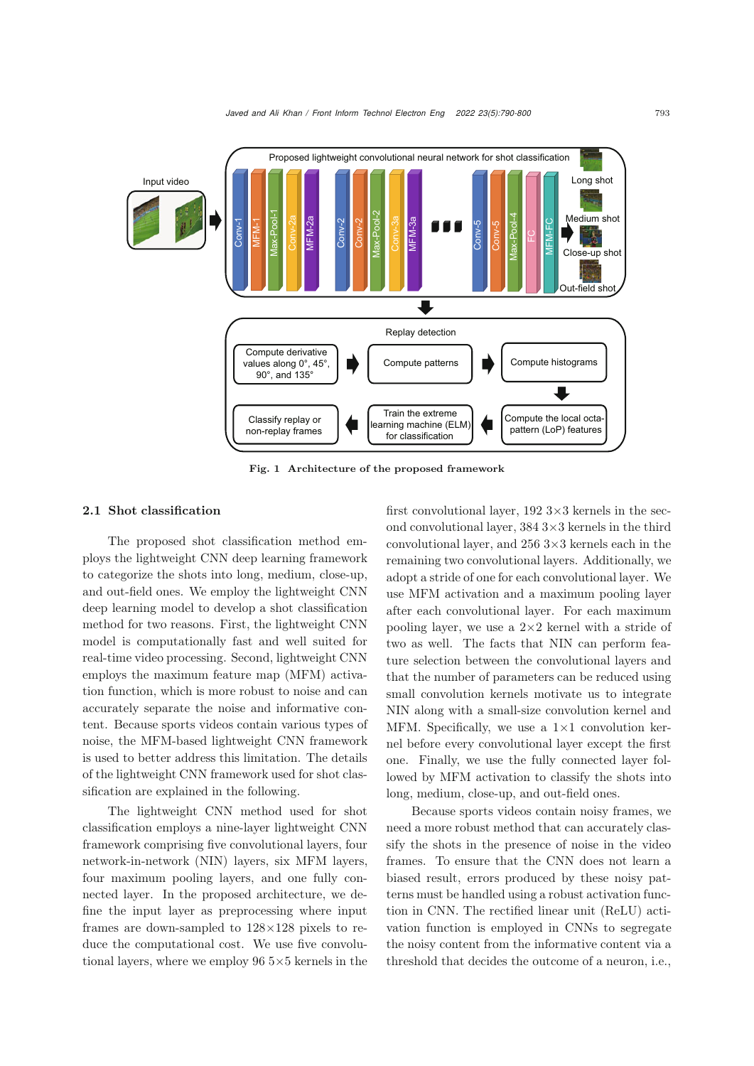

Fig. 1 Architecture of the proposed framework

#### 2.1 Shot classification

The proposed shot classification method employs the lightweight CNN deep learning framework to categorize the shots into long, medium, close-up, and out-field ones. We employ the lightweight CNN deep learning model to develop a shot classification method for two reasons. First, the lightweight CNN model is computationally fast and well suited for real-time video processing. Second, lightweight CNN employs the maximum feature map (MFM) activation function, which is more robust to noise and can accurately separate the noise and informative content. Because sports videos contain various types of noise, the MFM-based lightweight CNN framework is used to better address this limitation. The details of the lightweight CNN framework used for shot classification are explained in the following.

The lightweight CNN method used for shot classification employs a nine-layer lightweight CNN framework comprising five convolutional layers, four network-in-network (NIN) layers, six MFM layers, four maximum pooling layers, and one fully connected layer. In the proposed architecture, we define the input layer as preprocessing where input frames are down-sampled to 128×128 pixels to reduce the computational cost. We use five convolutional layers, where we employ  $96\,5\times5$  kernels in the first convolutional layer,  $192\,3\times3$  kernels in the second convolutional layer,  $3843 \times 3$  kernels in the third convolutional layer, and 256 3×3 kernels each in the remaining two convolutional layers. Additionally, we adopt a stride of one for each convolutional layer. We use MFM activation and a maximum pooling layer after each convolutional layer. For each maximum pooling layer, we use a  $2\times 2$  kernel with a stride of two as well. The facts that NIN can perform feature selection between the convolutional layers and that the number of parameters can be reduced using small convolution kernels motivate us to integrate NIN along with a small-size convolution kernel and MFM. Specifically, we use a  $1\times1$  convolution kernel before every convolutional layer except the first one. Finally, we use the fully connected layer followed by MFM activation to classify the shots into long, medium, close-up, and out-field ones.

Because sports videos contain noisy frames, we need a more robust method that can accurately classify the shots in the presence of noise in the video frames. To ensure that the CNN does not learn a biased result, errors produced by these noisy patterns must be handled using a robust activation function in CNN. The rectified linear unit (ReLU) activation function is employed in CNNs to segregate the noisy content from the informative content via a threshold that decides the outcome of a neuron, i.e.,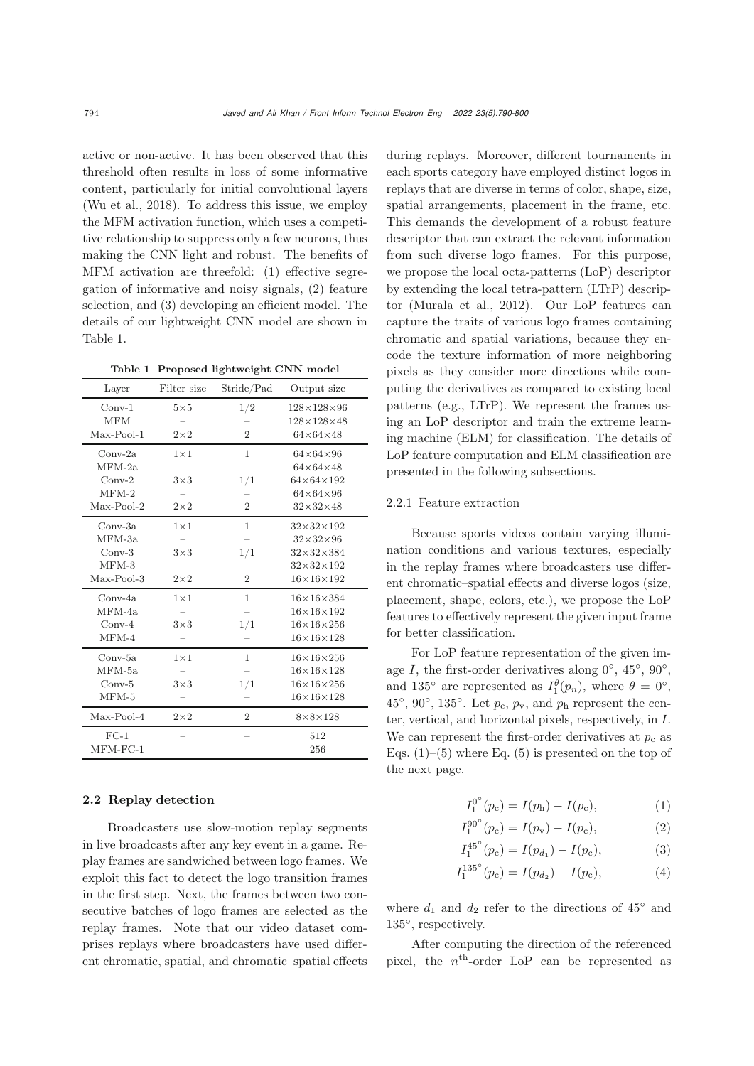active or non-active. It has been observed that this threshold often results in loss of some informative content, particularly for initial convolutional layers [\(Wu et al., 2018\)](#page-10-26). To address this issue, we employ the MFM activation function, which uses a competitive relationship to suppress only a few neurons, thus making the CNN light and robust. The benefits of MFM activation are threefold: (1) effective segregation of informative and noisy signals, (2) feature selection, and (3) developing an efficient model. The details of our lightweight CNN model are shown in Table 1.

Table 1 Proposed lightweight CNN model

| Layer      | Filter size  | Stride/Pad     | Output size            |  |
|------------|--------------|----------------|------------------------|--|
| $Conv-1$   | $5\times5$   | 1/2            | $128\times128\times96$ |  |
| <b>MFM</b> |              |                | $128\times128\times48$ |  |
| Max-Pool-1 | $2\times 2$  | $\overline{2}$ | $64\times64\times48$   |  |
| $Conv-2a$  | $1 \times 1$ | $\mathbf{1}$   | $64\times64\times96$   |  |
| $MFM-2a$   |              |                | $64\times64\times48$   |  |
| $Conv-2$   | $3\times3$   | 1/1            | $64\times64\times192$  |  |
| $MFM-2$    |              |                | $64\times64\times96$   |  |
| Max-Pool-2 | $2\times 2$  | $\overline{2}$ | $32\times32\times48$   |  |
| $Conv-3a$  | $1 \times 1$ | $\mathbf{1}$   | $32\times32\times192$  |  |
| $MFM-3a$   |              |                | $32\times32\times96$   |  |
| $Conv-3$   | $3\times3$   | 1/1            | $32\times32\times384$  |  |
| $MFM-3$    |              |                | $32\times32\times192$  |  |
| Max-Pool-3 | $2\times 2$  | $\overline{2}$ | $16\times16\times192$  |  |
| $Conv-4a$  | $1\times1$   | 1              | $16\times16\times384$  |  |
| MFM-4a     |              |                | $16\times16\times192$  |  |
| $Conv-4$   | $3\times3$   | 1/1            | $16\times16\times256$  |  |
| $MFM-4$    |              |                | $16\times16\times128$  |  |
| $Conv-5a$  | $1 \times 1$ | 1              | $16\times16\times256$  |  |
| $MFM-5a$   |              |                | $16\times16\times128$  |  |
| $Conv-5$   | $3\times3$   | 1/1            | $16\times16\times256$  |  |
| $MFM-5$    |              |                | $16\times16\times128$  |  |
| Max-Pool-4 | $2\times 2$  | $\overline{2}$ | $8\times8\times128$    |  |
| $FC-1$     |              |                | 512                    |  |
| $MFM-FC-1$ |              |                | 256                    |  |

## 2.2 Replay detection

Broadcasters use slow-motion replay segments in live broadcasts after any key event in a game. Replay frames are sandwiched between logo frames. We exploit this fact to detect the logo transition frames in the first step. Next, the frames between two consecutive batches of logo frames are selected as the replay frames. Note that our video dataset comprises replays where broadcasters have used different chromatic, spatial, and chromatic–spatial effects

during replays. Moreover, different tournaments in each sports category have employed distinct logos in replays that are diverse in terms of color, shape, size, spatial arrangements, placement in the frame, etc. This demands the development of a robust feature descriptor that can extract the relevant information from such diverse logo frames. For this purpose, we propose the local octa-patterns (LoP) descriptor by extending the local tetra-pattern (LTrP) descriptor [\(Murala et al., 2012\)](#page-10-27). Our LoP features can capture the traits of various logo frames containing chromatic and spatial variations, because they encode the texture information of more neighboring pixels as they consider more directions while computing the derivatives as compared to existing local patterns (e.g., LTrP). We represent the frames using an LoP descriptor and train the extreme learning machine (ELM) for classification. The details of LoP feature computation and ELM classification are presented in the following subsections.

#### 2.2.1 Feature extraction

Because sports videos contain varying illumination conditions and various textures, especially in the replay frames where broadcasters use different chromatic–spatial effects and diverse logos (size, placement, shape, colors, etc.), we propose the LoP features to effectively represent the given input frame for better classification.

For LoP feature representation of the given image I, the first-order derivatives along  $0°$ ,  $45°$ ,  $90°$ , and 135<sup>°</sup> are represented as  $I_1^{\theta}(p_n)$ , where  $\theta = 0^{\circ}$ , 45<sup>°</sup>, 90<sup>°</sup>, 135<sup>°</sup>. Let  $p_c$ ,  $p_v$ , and  $p_h$  represent the center, vertical, and horizontal pixels, respectively, in I. We can represent the first-order derivatives at  $p_c$  as Eqs.  $(1)$ – $(5)$  where Eq.  $(5)$  is presented on the top of the next page.

$$
I_1^{0^{\circ}}(p_{\rm c}) = I(p_{\rm h}) - I(p_{\rm c}), \tag{1}
$$

$$
I_1^{90^{\circ}}(p_c) = I(p_v) - I(p_c), \tag{2}
$$

$$
I_1^{45^\circ}(p_c) = I(p_{d_1}) - I(p_c),\tag{3}
$$

$$
I_1^{135^\circ}(p_c) = I(p_{d_2}) - I(p_c),\tag{4}
$$

where  $d_1$  and  $d_2$  refer to the directions of 45° and 135◦, respectively.

After computing the direction of the referenced pixel, the  $n<sup>th</sup>$ -order LoP can be represented as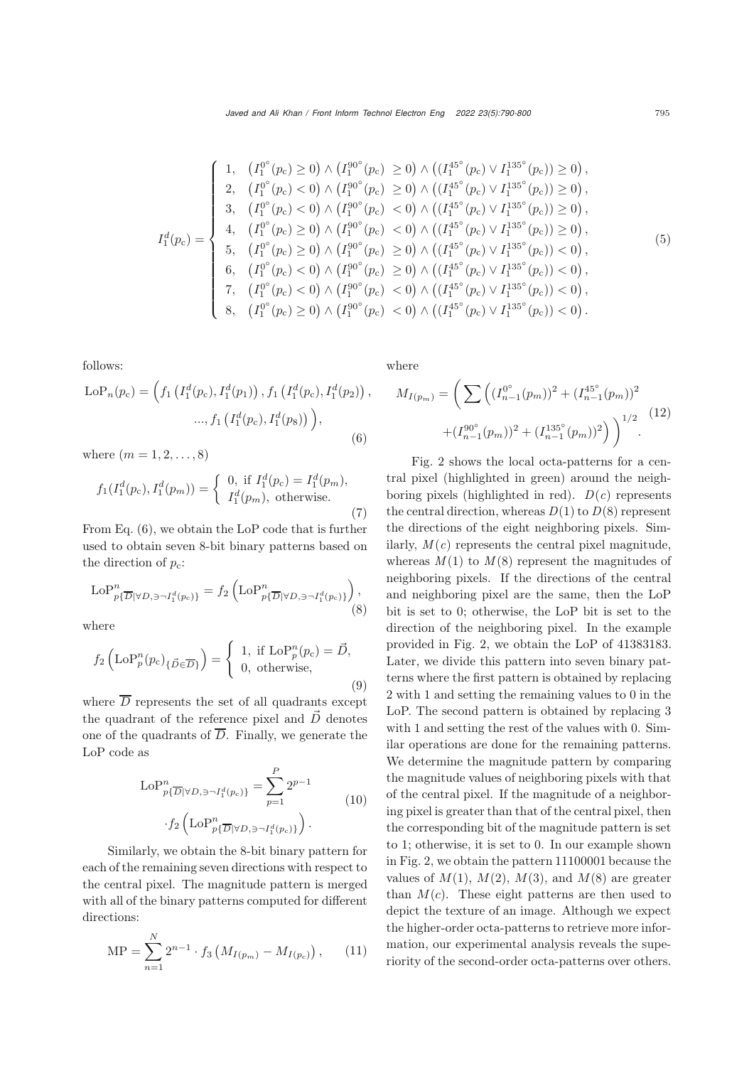$$
I_1^d(p_c) = \begin{cases} 1, & (I_1^{0^{\circ}}(p_c) \ge 0) \wedge (I_1^{90^{\circ}}(p_c) \ge 0) \wedge ((I_1^{45^{\circ}}(p_c) \vee I_1^{135^{\circ}}(p_c)) \ge 0), \\ 2, & (I_1^{0^{\circ}}(p_c) < 0) \wedge (I_1^{90^{\circ}}(p_c) \ge 0) \wedge ((I_1^{45^{\circ}}(p_c) \vee I_1^{135^{\circ}}(p_c)) \ge 0), \\ 3, & (I_1^{0^{\circ}}(p_c) < 0) \wedge (I_1^{90^{\circ}}(p_c) < 0) \wedge ((I_1^{45^{\circ}}(p_c) \vee I_1^{135^{\circ}}(p_c)) \ge 0), \\ 4, & (I_1^{0^{\circ}}(p_c) \ge 0) \wedge (I_1^{90^{\circ}}(p_c) < 0) \wedge ((I_1^{45^{\circ}}(p_c) \vee I_1^{135^{\circ}}(p_c)) \ge 0), \\ 5, & (I_1^{0^{\circ}}(p_c) \ge 0) \wedge (I_1^{90^{\circ}}(p_c) \ge 0) \wedge ((I_1^{45^{\circ}}(p_c) \vee I_1^{135^{\circ}}(p_c)) < 0), \\ 6, & (I_1^{0^{\circ}}(p_c) < 0) \wedge (I_1^{90^{\circ}}(p_c) \ge 0) \wedge ((I_1^{45^{\circ}}(p_c) \vee I_1^{135^{\circ}}(p_c)) < 0), \\ 7, & (I_1^{0^{\circ}}(p_c) < 0) \wedge (I_1^{90^{\circ}}(p_c) < 0) \wedge ((I_1^{45^{\circ}}(p_c) \vee I_1^{135^{\circ}}(p_c)) < 0), \\ 8, & (I_1^{0^{\circ}}(p_c) \ge 0) \wedge (I_1^{90^{\circ}}(p_c) < 0) \wedge ((I_1^{45^{\circ}}(p_c) \vee I_1^{135^{\circ}}(p_c)) < 0). \end{cases}
$$

follows:

$$
LoP_n(p_c) = \left(f_1\left(I_1^d(p_c), I_1^d(p_1)\right), f_1\left(I_1^d(p_c), I_1^d(p_2)\right),\right.\n..., f_1\left(I_1^d(p_c), I_1^d(p_3)\right)\right),
$$
\n(6)

where  $(m = 1, 2, ..., 8)$ 

$$
f_1(I_1^d(p_c), I_1^d(p_m)) = \begin{cases} 0, & \text{if } I_1^d(p_c) = I_1^d(p_m), \\ I_1^d(p_m), & \text{otherwise.} \end{cases}
$$
(7)

From Eq. (6), we obtain the LoP code that is further used to obtain seven 8-bit binary patterns based on the direction of  $p_c$ :

$$
\mathrm{LoP}_{p\{\overline{D}|\forall D,\exists \neg I_1^d(p_c)\}}^n = f_2\left(\mathrm{LoP}_{p\{\overline{D}|\forall D,\exists \neg I_1^d(p_c)\}}^n\right),\tag{8}
$$

where

$$
f_2\left(\text{LoP}_p^n(p_c)_{\{\vec{D}\in\overline{D}\}}\right) = \begin{cases} 1, & \text{if } \text{LoP}_p^n(p_c) = \vec{D}, \\ 0, & \text{otherwise}, \end{cases}
$$
(9)

where  $\overline{D}$  represents the set of all quadrants except the quadrant of the reference pixel and  $\vec{D}$  denotes one of the quadrants of  $\overline{D}$ . Finally, we generate the LoP code as

$$
\text{LoP}_{p\{\overline{D}|\forall D,\exists \neg I_1^d(p_c)\}}^n = \sum_{p=1}^P 2^{p-1}
$$
  
 
$$
\cdot f_2 \left( \text{LoP}_{p\{\overline{D}|\forall D,\exists \neg I_1^d(p_c)\}}^n \right).
$$
 (10)

Similarly, we obtain the 8-bit binary pattern for each of the remaining seven directions with respect to the central pixel. The magnitude pattern is merged with all of the binary patterns computed for different directions:

$$
MP = \sum_{n=1}^{N} 2^{n-1} \cdot f_3 \left( M_{I(p_m)} - M_{I(p_c)} \right), \qquad (11)
$$

where

$$
M_{I(p_m)} = \left( \sum \left( (I_{n-1}^{0^{\circ}}(p_m))^2 + (I_{n-1}^{45^{\circ}}(p_m))^2 + (I_{n-1}^{90^{\circ}}(p_m))^2 + (I_{n-1}^{90^{\circ}}(p_m))^2 \right) \right)^{1/2}.
$$
 (12)

Fig. 2 shows the local octa-patterns for a central pixel (highlighted in green) around the neighboring pixels (highlighted in red).  $D(c)$  represents the central direction, whereas  $D(1)$  to  $D(8)$  represent the directions of the eight neighboring pixels. Similarly,  $M(c)$  represents the central pixel magnitude, whereas  $M(1)$  to  $M(8)$  represent the magnitudes of neighboring pixels. If the directions of the central and neighboring pixel are the same, then the LoP bit is set to 0; otherwise, the LoP bit is set to the direction of the neighboring pixel. In the example provided in Fig. 2, we obtain the LoP of 41383183. Later, we divide this pattern into seven binary patterns where the first pattern is obtained by replacing 2 with 1 and setting the remaining values to 0 in the LoP. The second pattern is obtained by replacing 3 with 1 and setting the rest of the values with 0. Similar operations are done for the remaining patterns. We determine the magnitude pattern by comparing the magnitude values of neighboring pixels with that of the central pixel. If the magnitude of a neighboring pixel is greater than that of the central pixel, then the corresponding bit of the magnitude pattern is set to 1; otherwise, it is set to 0. In our example shown in Fig. 2, we obtain the pattern 11100001 because the values of  $M(1)$ ,  $M(2)$ ,  $M(3)$ , and  $M(8)$  are greater than  $M(c)$ . These eight patterns are then used to depict the texture of an image. Although we expect the higher-order octa-patterns to retrieve more information, our experimental analysis reveals the superiority of the second-order octa-patterns over others.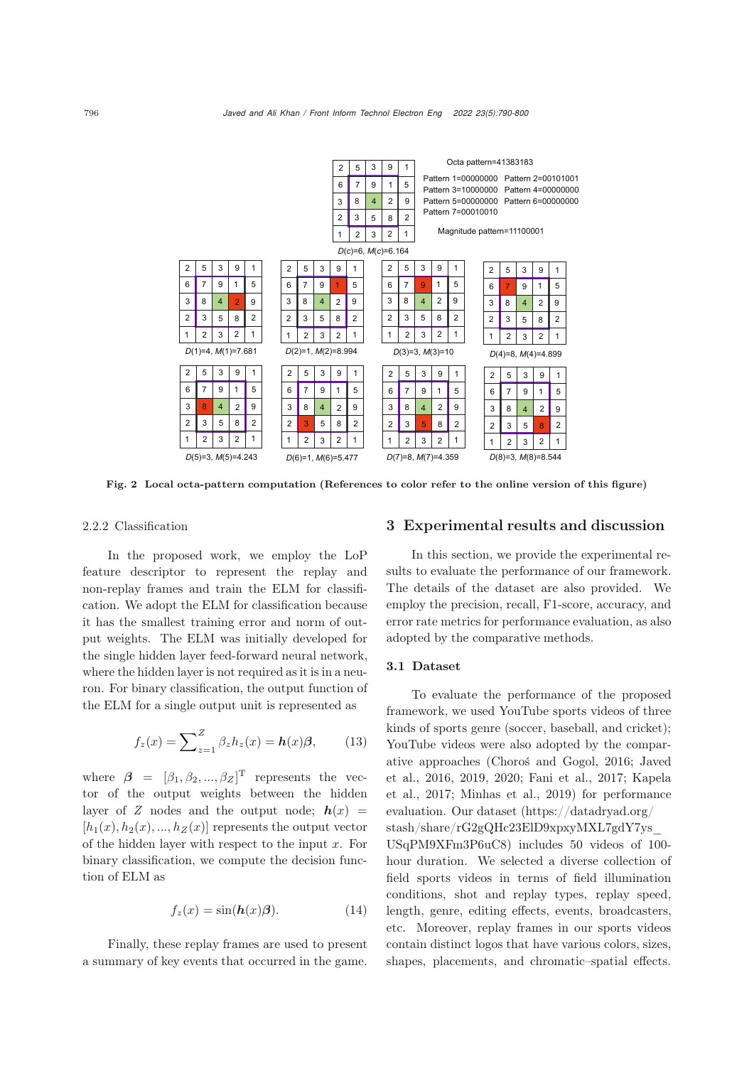

Fig. 2 Local octa-pattern computation (References to color refer to the online version of this figure)

#### 2.2.2 Classification

In the proposed work, we employ the LoP feature descriptor to represent the replay and non-replay frames and train the ELM for classification. We adopt the ELM for classification because it has the smallest training error and norm of output weights. The ELM was initially developed for the single hidden layer feed-forward neural network, where the hidden layer is not required as it is in a neuron. For binary classification, the output function of the ELM for a single output unit is represented as

$$
f_z(x) = \sum_{z=1}^{Z} \beta_z h_z(x) = h(x)\beta, \qquad (13)
$$

where  $\beta = [\beta_1, \beta_2, ..., \beta_Z]^T$  represents the vector of the output weights between the hidden layer of *Z* nodes and the output node;  $h(x)$  =  $[h_1(x), h_2(x), ..., h_Z(x)]$  represents the output vector of the hidden layer with respect to the input  $x$ . For binary classification, we compute the decision function of ELM as

$$
f_z(x) = \sin(\mathbf{h}(x)\boldsymbol{\beta}).\tag{14}
$$

Finally, these replay frames are used to present a summary of key events that occurred in the game.

### 3 Experimental results and discussion

In this section, we provide the experimental results to evaluate the performance of our framework. The details of the dataset are also provided. We employ the precision, recall, F1-score, accuracy, and error rate metrics for performance evaluation, as also adopted by the comparative methods.

#### 3.1 Dataset

To evaluate the performance of the proposed framework, we used YouTube sports videos of three kinds of sports genre (soccer, baseball, and cricket); YouTube videos were also adopted by the comparative [approaches](#page-10-0) [\(Choroś and Gogol](#page-10-8)[,](#page-10-0) [2016](#page-10-8)[;](#page-10-0) Javed et al.[,](#page-10-3) [2016](#page-10-0)[,](#page-10-3) [2019](#page-10-1)[,](#page-10-3) [2020;](#page-10-5) [Fani et al.](#page-10-2)[,](#page-10-3) [2017](#page-10-2)[;](#page-10-3) Kapela et al., [2017](#page-10-3); [Minhas et al., 2019](#page-10-4)) for performance evaluation. Our dataset (https://datadryad.org/ stash/share/rG2gQHc23ElD9xpxyMXL7gdY7ys\_ USqPM9XFm3P6uC8) includes 50 videos of 100 hour duration. We selected a diverse collection of field sports videos in terms of field illumination conditions, shot and replay types, replay speed, length, genre, editing effects, events, broadcasters, etc. Moreover, replay frames in our sports videos contain distinct logos that have various colors, sizes, shapes, placements, and chromatic–spatial effects.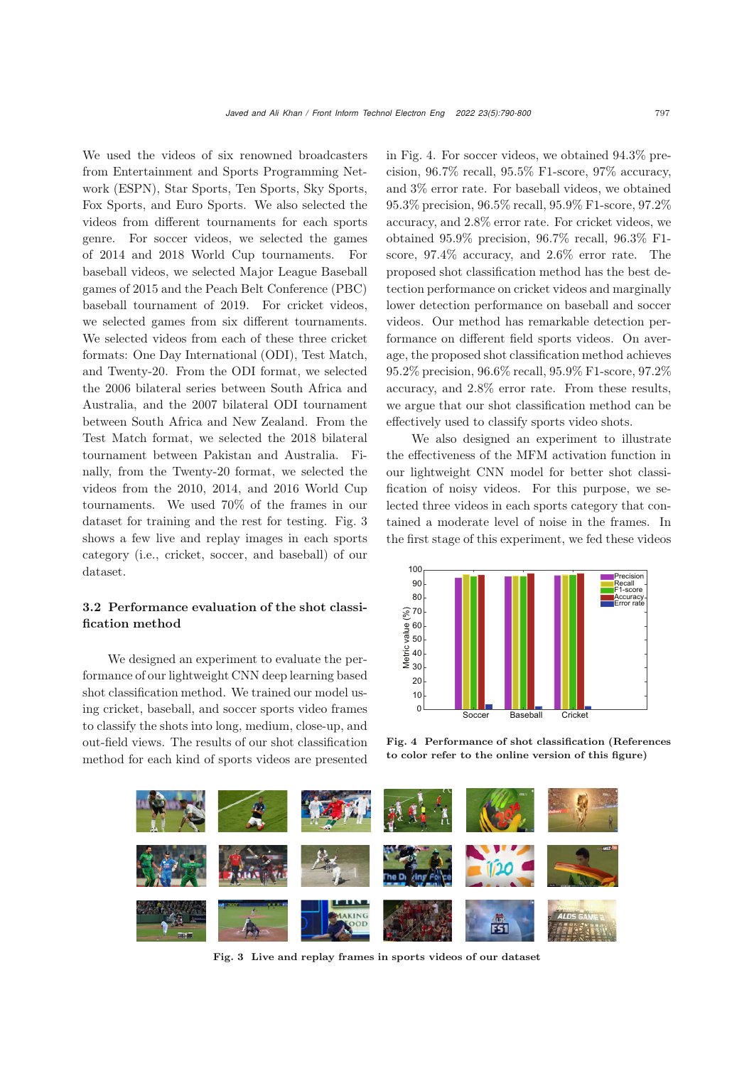We used the videos of six renowned broadcasters from Entertainment and Sports Programming Network (ESPN), Star Sports, Ten Sports, Sky Sports, Fox Sports, and Euro Sports. We also selected the videos from different tournaments for each sports genre. For soccer videos, we selected the games of 2014 and 2018 World Cup tournaments. For baseball videos, we selected Major League Baseball games of 2015 and the Peach Belt Conference (PBC) baseball tournament of 2019. For cricket videos, we selected games from six different tournaments. We selected videos from each of these three cricket formats: One Day International (ODI), Test Match, and Twenty-20. From the ODI format, we selected the 2006 bilateral series between South Africa and Australia, and the 2007 bilateral ODI tournament between South Africa and New Zealand. From the Test Match format, we selected the 2018 bilateral tournament between Pakistan and Australia. Finally, from the Twenty-20 format, we selected the videos from the 2010, 2014, and 2016 World Cup tournaments. We used 70% of the frames in our dataset for training and the rest for testing. Fig. 3 shows a few live and replay images in each sports category (i.e., cricket, soccer, and baseball) of our dataset.

# 3.2 Performance evaluation of the shot classification method

We designed an experiment to evaluate the performance of our lightweight CNN deep learning based shot classification method. We trained our model using cricket, baseball, and soccer sports video frames to classify the shots into long, medium, close-up, and out-field views. The results of our shot classification method for each kind of sports videos are presented

in Fig. 4. For soccer videos, we obtained 94.3% precision, 96.7% recall, 95.5% F1-score, 97% accuracy, and 3% error rate. For baseball videos, we obtained 95.3% precision, 96.5% recall, 95.9% F1-score, 97.2% accuracy, and 2.8% error rate. For cricket videos, we obtained 95.9% precision, 96.7% recall, 96.3% F1 score, 97.4% accuracy, and 2.6% error rate. The proposed shot classification method has the best detection performance on cricket videos and marginally lower detection performance on baseball and soccer videos. Our method has remarkable detection performance on different field sports videos. On average, the proposed shot classification method achieves 95.2% precision, 96.6% recall, 95.9% F1-score, 97.2% accuracy, and 2.8% error rate. From these results, we argue that our shot classification method can be effectively used to classify sports video shots.

We also designed an experiment to illustrate the effectiveness of the MFM activation function in our lightweight CNN model for better shot classification of noisy videos. For this purpose, we selected three videos in each sports category that contained a moderate level of noise in the frames. In the first stage of this experiment, we fed these videos



Fig. 4 Performance of shot classification (References to color refer to the online version of this figure)



Fig. 3 Live and replay frames in sports videos of our dataset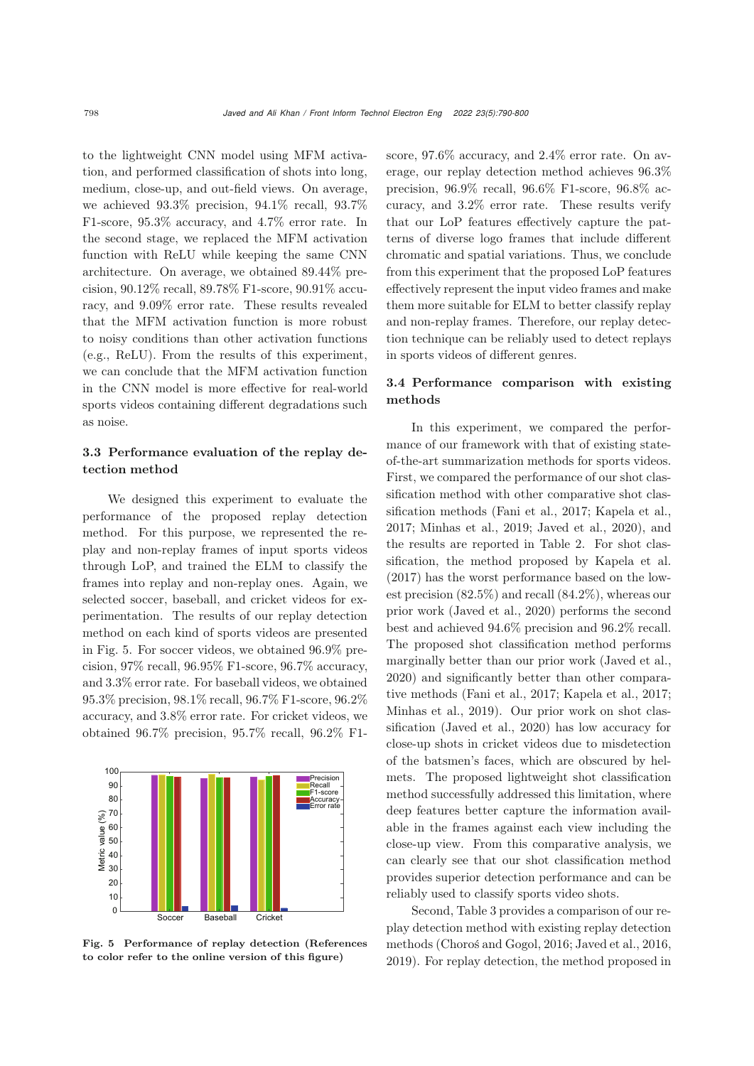to the lightweight CNN model using MFM activation, and performed classification of shots into long, medium, close-up, and out-field views. On average, we achieved 93.3% precision, 94.1% recall, 93.7% F1-score, 95.3% accuracy, and 4.7% error rate. In the second stage, we replaced the MFM activation function with ReLU while keeping the same CNN architecture. On average, we obtained 89.44% precision, 90.12% recall, 89.78% F1-score, 90.91% accuracy, and 9.09% error rate. These results revealed that the MFM activation function is more robust to noisy conditions than other activation functions (e.g., ReLU). From the results of this experiment, we can conclude that the MFM activation function in the CNN model is more effective for real-world sports videos containing different degradations such as noise.

# 3.3 Performance evaluation of the replay detection method

We designed this experiment to evaluate the performance of the proposed replay detection method. For this purpose, we represented the replay and non-replay frames of input sports videos through LoP, and trained the ELM to classify the frames into replay and non-replay ones. Again, we selected soccer, baseball, and cricket videos for experimentation. The results of our replay detection method on each kind of sports videos are presented in Fig. 5. For soccer videos, we obtained 96.9% precision, 97% recall, 96.95% F1-score, 96.7% accuracy, and 3.3% error rate. For baseball videos, we obtained 95.3% precision, 98.1% recall, 96.7% F1-score, 96.2% accuracy, and 3.8% error rate. For cricket videos, we obtained 96.7% precision, 95.7% recall, 96.2% F1-



Fig. 5 Performance of replay detection (References to color refer to the online version of this figure)

score, 97.6% accuracy, and 2.4% error rate. On average, our replay detection method achieves 96.3% precision, 96.9% recall, 96.6% F1-score, 96.8% accuracy, and 3.2% error rate. These results verify that our LoP features effectively capture the patterns of diverse logo frames that include different chromatic and spatial variations. Thus, we conclude from this experiment that the proposed LoP features effectively represent the input video frames and make them more suitable for ELM to better classify replay and non-replay frames. Therefore, our replay detection technique can be reliably used to detect replays in sports videos of different genres.

# 3.4 Performance comparison with existing methods

In this experiment, we compared the performance of our framework with that of existing stateof-the-art summarization methods for sports videos. First, we compared the performance of our shot classification method with other comparative shot classification methods [\(Fani et al.](#page-10-2), [2017](#page-10-2); [Kapela et al.](#page-10-3), [2017](#page-10-3); [Minhas et al., 2019;](#page-10-4) [Javed et al.](#page-10-5), [2020](#page-10-5)), and the results are reported in Table 2. For shot classification, the method proposed by [Kapela et al.](#page-10-3) [\(2017](#page-10-3)) has the worst performance based on the lowest precision (82.5%) and recall (84.2%), whereas our prior work [\(Javed et al., 2020](#page-10-5)) performs the second best and achieved 94.6% precision and 96.2% recall. The proposed shot classification method performs marginally better than our prior work [\(Javed et al.](#page-10-5), [2020](#page-10-5)) and significantly better than other comparative methods [\(Fani et al.](#page-10-2), [2017](#page-10-2); [Kapela et al.](#page-10-3), [2017;](#page-10-3) [Minhas et al.](#page-10-4), [2019](#page-10-4)). Our prior work on shot classification [\(Javed et al., 2020\)](#page-10-5) has low accuracy for close-up shots in cricket videos due to misdetection of the batsmen's faces, which are obscured by helmets. The proposed lightweight shot classification method successfully addressed this limitation, where deep features better capture the information available in the frames against each view including the close-up view. From this comparative analysis, we can clearly see that our shot classification method provides superior detection performance and can be reliably used to classify sports video shots.

Second, Table 3 provides a comparison of our replay detection method with existing replay detection methods [\(Choroś and Gogol, 2016;](#page-10-8) [Javed et al.](#page-10-0), [2016,](#page-10-0) [2019](#page-10-1)). For replay detection, the method proposed in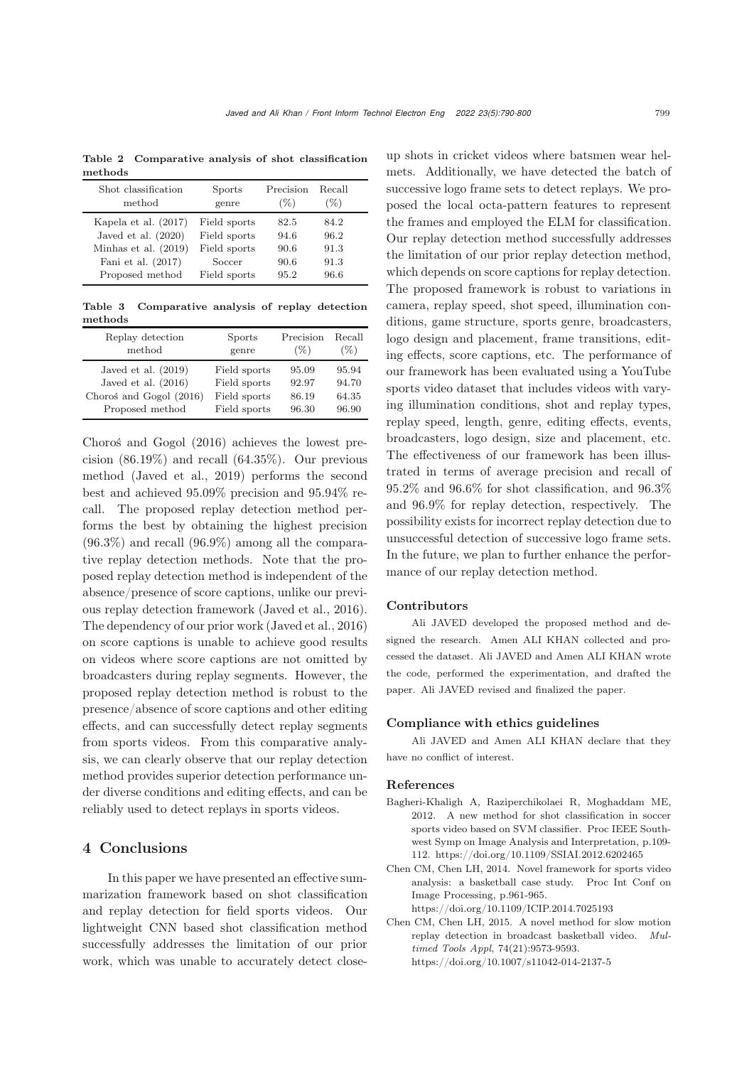Table 2 Comparative analysis of shot classification methods

| Shot classification    | Sports       | Precision | Recall |  |
|------------------------|--------------|-----------|--------|--|
| method                 | genre        | $(\%)$    | (%)    |  |
| Kapela et al. (2017)   | Field sports | 82.5      | 84.2   |  |
| Javed et al. $(2020)$  | Field sports | 94.6      | 96.2   |  |
| Minhas et al. $(2019)$ | Field sports | 90.6      | 91.3   |  |
| Fani et al. $(2017)$   | Soccer       | 90.6      | 91.3   |  |
| Proposed method        | Field sports | 95.2      | 96.6   |  |

Table 3 Comparative analysis of replay detection methods

| Replay detection        | <b>Sports</b> | Precision | Recall |
|-------------------------|---------------|-----------|--------|
| method                  | genre         | $(\%)$    | $(\%)$ |
| Javed et al. $(2019)$   | Field sports  | 95.09     | 95.94  |
| Javed et al. $(2016)$   | Field sports  | 92.97     | 94.70  |
| Choroś and Gogol (2016) | Field sports  | 86.19     | 64.35  |
| Proposed method         | Field sports  | 96.30     | 96.90  |

[Choroś and Gogol](#page-10-8) [\(2016](#page-10-8)) achieves the lowest precision  $(86.19\%)$  and recall  $(64.35\%)$ . Our previous method [\(Javed et al., 2019\)](#page-10-1) performs the second best and achieved 95.09% precision and 95.94% recall. The proposed replay detection method performs the best by obtaining the highest precision  $(96.3\%)$  and recall  $(96.9\%)$  among all the comparative replay detection methods. Note that the proposed replay detection method is independent of the absence/presence of score captions, unlike our previous replay detection framework [\(Javed et al., 2016\)](#page-10-0). The dependency of our prior work [\(Javed et al., 2016\)](#page-10-0) on score captions is unable to achieve good results on videos where score captions are not omitted by broadcasters during replay segments. However, the proposed replay detection method is robust to the presence/absence of score captions and other editing effects, and can successfully detect replay segments from sports videos. From this comparative analysis, we can clearly observe that our replay detection method provides superior detection performance under diverse conditions and editing effects, and can be reliably used to detect replays in sports videos.

# 4 Conclusions

In this paper we have presented an effective summarization framework based on shot classification and replay detection for field sports videos. Our lightweight CNN based shot classification method successfully addresses the limitation of our prior work, which was unable to accurately detect closeup shots in cricket videos where batsmen wear helmets. Additionally, we have detected the batch of successive logo frame sets to detect replays. We proposed the local octa-pattern features to represent the frames and employed the ELM for classification. Our replay detection method successfully addresses the limitation of our prior replay detection method, which depends on score captions for replay detection. The proposed framework is robust to variations in camera, replay speed, shot speed, illumination conditions, game structure, sports genre, broadcasters, logo design and placement, frame transitions, editing effects, score captions, etc. The performance of our framework has been evaluated using a YouTube sports video dataset that includes videos with varying illumination conditions, shot and replay types, replay speed, length, genre, editing effects, events, broadcasters, logo design, size and placement, etc. The effectiveness of our framework has been illustrated in terms of average precision and recall of 95.2% and 96.6% for shot classification, and 96.3% and 96.9% for replay detection, respectively. The possibility exists for incorrect replay detection due to unsuccessful detection of successive logo frame sets. In the future, we plan to further enhance the performance of our replay detection method.

## Contributors

Ali JAVED developed the proposed method and designed the research. Amen ALI KHAN collected and processed the dataset. Ali JAVED and Amen ALI KHAN wrote the code, performed the experimentation, and drafted the paper. Ali JAVED revised and finalized the paper.

#### Compliance with ethics guidelines

Ali JAVED and Amen ALI KHAN declare that they have no conflict of interest.

#### References

- <span id="page-9-0"></span>Bagheri-Khaligh A, Raziperchikolaei R, Moghaddam ME, 2012. A new method for shot classification in soccer sports video based on SVM classifier. Proc IEEE Southwest Symp on Image Analysis and Interpretation, p.109- 112. https://doi.org/10.1109/SSIAI.2012.6202465
- <span id="page-9-2"></span>Chen CM, Chen LH, 2014. Novel framework for sports video analysis: a basketball case study. Proc Int Conf on Image Processing, p.961-965. https://doi.org/10.1109/ICIP.2014.7025193
- <span id="page-9-1"></span>Chen CM, Chen LH, 2015. A novel method for slow motion replay detection in broadcast basketball video. *Multimed Tools Appl*, 74(21):9573-9593. https://doi.org/10.1007/s11042-014-2137-5